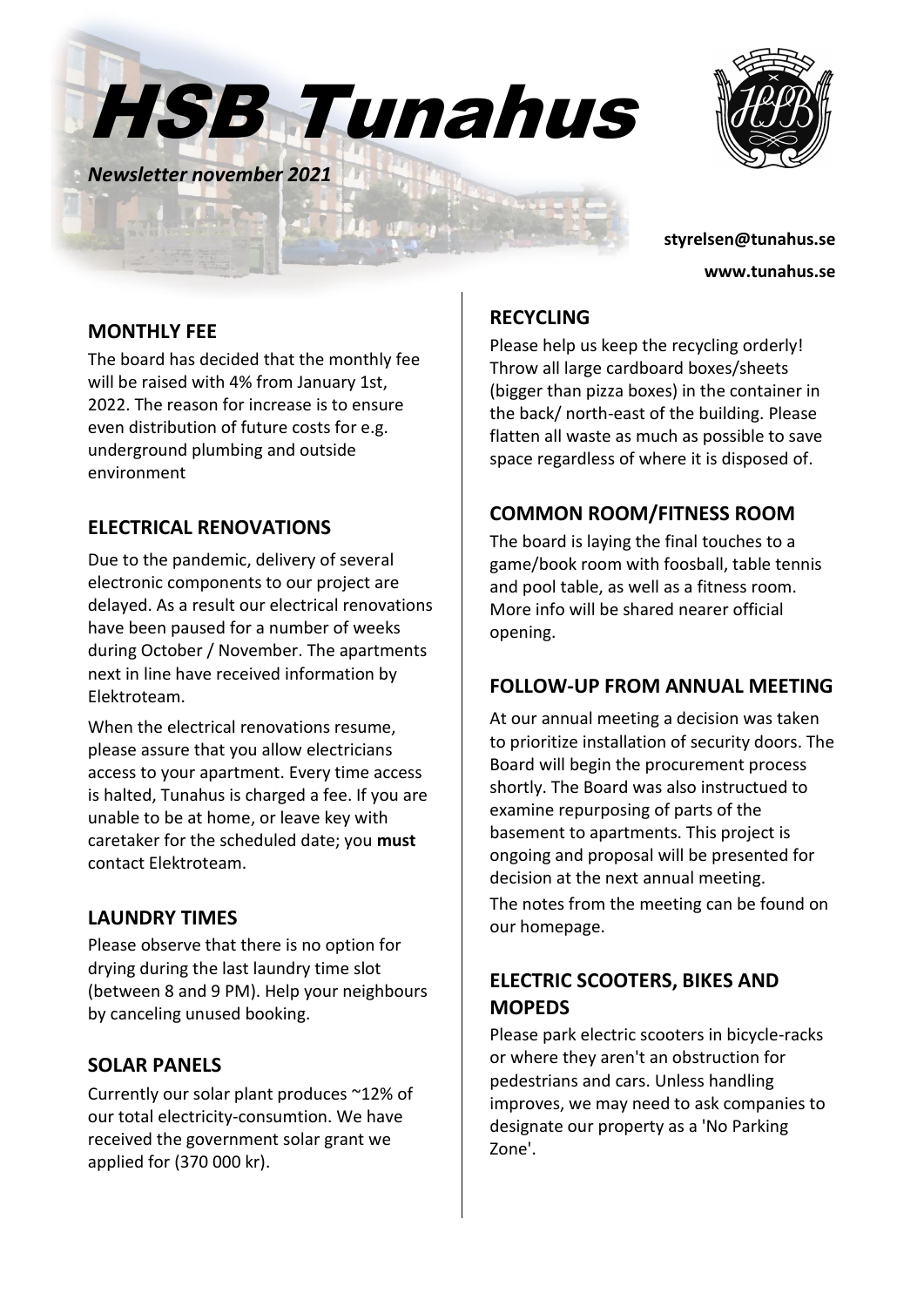



*Newsletter november 2021*

**styrelsen@tunahus.se www.tunahus.se**

#### **MONTHLY FEE**

The board has decided that the monthly fee will be raised with 4% from January 1st, 2022. The reason for increase is to ensure even distribution of future costs for e.g. underground plumbing and outside environment

# **ELECTRICAL RENOVATIONS**

Due to the pandemic, delivery of several electronic components to our project are delayed. As a result our electrical renovations have been paused for a number of weeks during October / November. The apartments next in line have received information by Elektroteam.

When the electrical renovations resume, please assure that you allow electricians access to your apartment. Every time access is halted, Tunahus is charged a fee. If you are unable to be at home, or leave key with caretaker for the scheduled date; you **must** contact Elektroteam.

### **LAUNDRY TIMES**

Please observe that there is no option for drying during the last laundry time slot (between 8 and 9 PM). Help your neighbours by canceling unused booking.

### **SOLAR PANELS**

Currently our solar plant produces ~12% of our total electricity-consumtion. We have received the government solar grant we applied for (370 000 kr).

# **RECYCLING**

Please help us keep the recycling orderly! Throw all large cardboard boxes/sheets (bigger than pizza boxes) in the container in the back/ north-east of the building. Please flatten all waste as much as possible to save space regardless of where it is disposed of.

# **COMMON ROOM/FITNESS ROOM**

The board is laying the final touches to a game/book room with foosball, table tennis and pool table, as well as a fitness room. More info will be shared nearer official opening.

### **FOLLOW-UP FROM ANNUAL MEETING**

At our annual meeting a decision was taken to prioritize installation of security doors. The Board will begin the procurement process shortly. The Board was also instructued to examine repurposing of parts of the basement to apartments. This project is ongoing and proposal will be presented for decision at the next annual meeting. The notes from the meeting can be found on our homepage.

# **ELECTRIC SCOOTERS, BIKES AND MOPEDS**

Please park electric scooters in bicycle-racks or where they aren't an obstruction for pedestrians and cars. Unless handling improves, we may need to ask companies to designate our property as a 'No Parking Zone'.